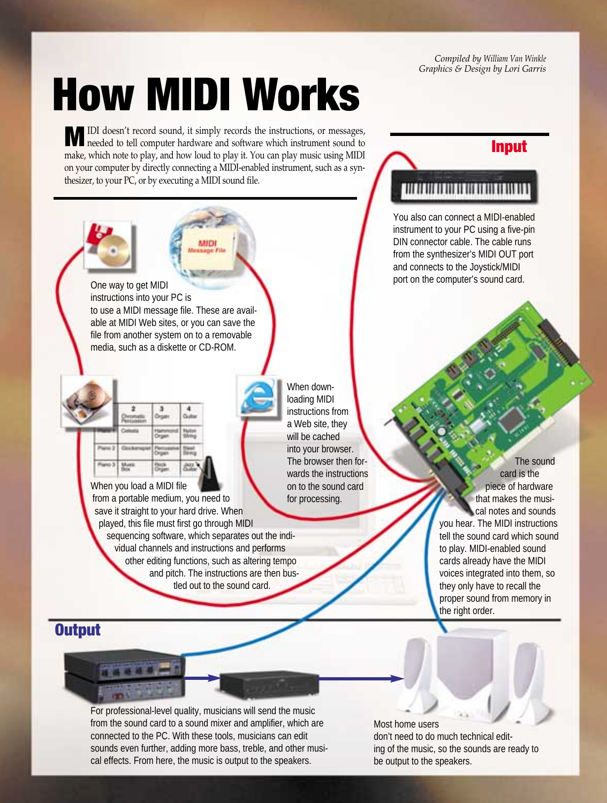*Compiled by William Van Winkle Graphics & Design by Lori Garris*

**Input**

## **How MIDI Works**

**M**IDI doesn't record sound, it simply records the instructions, or messages, needed to tell computer hardware and software which instrument sound to make, which note to play, and how loud to play it. You can play music using MIDI on your computer by directly connecting a MIDI-enabled instrument, such as a synthesizer, to your PC, or by executing a MIDI sound file.

One way to get MIDI instructions into your PC is to use a MIDI message file. These are available at MIDI Web sites, or you can save the file from another system on to a removable media, such as a diskette or CD-ROM.

When you load a MIDI file from a portable medium, you need to save it straight to your hard drive. When played, this file must first go through MIDI sequencing software, which separates out the individual channels and instructions and performs other editing functions, such as altering tempo and pitch. The instructions are then bustled out to the sound card.

When downloading MIDI instructions from a Web site, they will be cached into your browser. The browser then forwards the instructions on to the sound card for processing.

## 

You also can connect a MIDI-enabled instrument to your PC using a five-pin DIN connector cable. The cable runs from the synthesizer's MIDI OUT port and connects to the Joystick/MIDI port on the computer's sound card.

> The sound card is the piece of hardware that makes the musical notes and sounds you hear. The MIDI instructions tell the sound card which sound to play. MIDI-enabled sound cards already have the MIDI voices integrated into them, so they only have to recall the proper sound from memory in the right order.

## **Output**

\*\*\*\*\*

For professional-level quality, musicians will send the music from the sound card to a sound mixer and amplifier, which are connected to the PC. With these tools, musicians can edit sounds even further, adding more bass, treble, and other musical effects. From here, the music is output to the speakers.

Most home users don't need to do much technical editing of the music, so the sounds are ready to be output to the speakers.